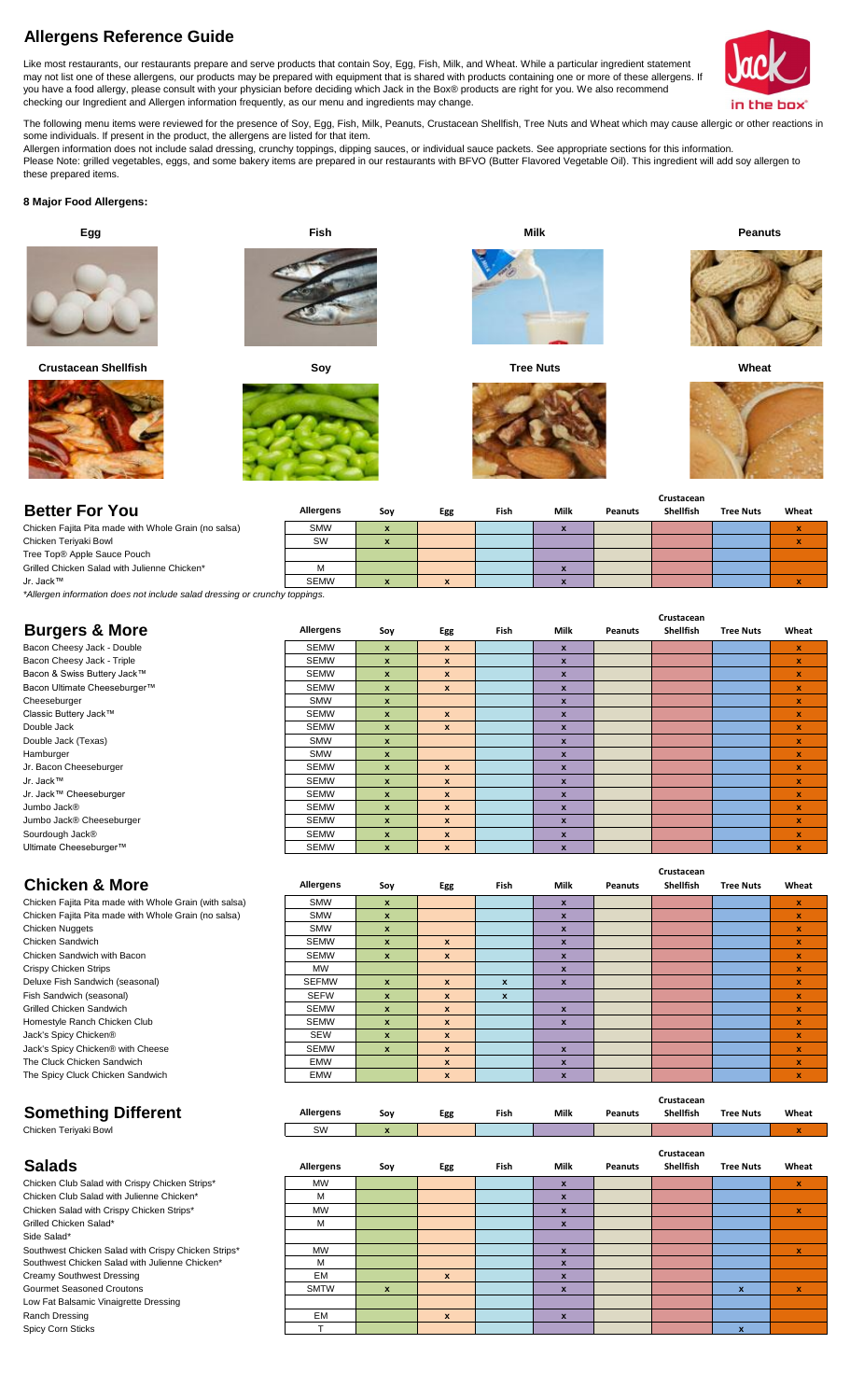# **Allergens Reference Guide**

Like most restaurants, our restaurants prepare and serve products that contain Soy, Egg, Fish, Milk, and Wheat. While a particular ingredient statement may not list one of these allergens, our products may be prepared with equipment that is shared with products containing one or more of these allergens. If you have a food allergy, please consult with your physician before deciding which Jack in the Box® products are right for you. We also recommend checking our Ingredient and Allergen information frequently, as our menu and ingredients may change.



The following menu items were reviewed for the presence of Soy, Egg, Fish, Milk, Peanuts, Crustacean Shellfish, Tree Nuts and Wheat which may cause allergic or other reactions in some individuals. If present in the product, the allergens are listed for that item.

Allergen information does not include salad dressing, crunchy toppings, dipping sauces, or individual sauce packets. See appropriate sections for this information. Please Note: grilled vegetables, eggs, and some bakery items are prepared in our restaurants with BFVO (Butter Flavored Vegetable Oil). This ingredient will add soy allergen to these prepared items.

# **8 Major Food Allergens:**

 **Egg Fish**



 **Crustacean Shellfish Soy**









**Tree Nuts**



**Milk Peanuts**



 **Wheat**



**Crustacean** 

**Crustacean** 

| <b>Better For You</b>                                | Allergens   | Soy | Egg | Fish | Milk | Peanuts | ----------<br><b>Shellfish</b> | <b>Tree Nuts</b> | Wheat |
|------------------------------------------------------|-------------|-----|-----|------|------|---------|--------------------------------|------------------|-------|
| Chicken Fajita Pita made with Whole Grain (no salsa) | <b>SMW</b>  |     |     |      |      |         |                                |                  |       |
| Chicken Teriyaki Bowl                                | SW          |     |     |      |      |         |                                |                  |       |
| Tree Top® Apple Sauce Pouch                          |             |     |     |      |      |         |                                |                  |       |
| Grilled Chicken Salad with Julienne Chicken*         |             |     |     |      |      |         |                                |                  |       |
| Jr. Jack™                                            | <b>SEMW</b> |     |     |      |      |         |                                |                  |       |

*\*Allergen information does not include salad dressing or crunchy toppings.*

|                              |             |                  |              |             |                  |                | Crustacean       |                  |              |  |  |  |  |
|------------------------------|-------------|------------------|--------------|-------------|------------------|----------------|------------------|------------------|--------------|--|--|--|--|
| <b>Burgers &amp; More</b>    | Allergens   | Soy              | Egg          | <b>Fish</b> | Milk             | <b>Peanuts</b> | <b>Shellfish</b> | <b>Tree Nuts</b> | Wheat        |  |  |  |  |
| Bacon Cheesy Jack - Double   | <b>SEMW</b> | $\boldsymbol{x}$ | $\mathbf{x}$ |             | $\mathbf{x}$     |                |                  |                  | $\mathbf x$  |  |  |  |  |
| Bacon Cheesy Jack - Triple   | <b>SEMW</b> | $\mathbf{x}$     | $\mathbf{x}$ |             | $\boldsymbol{x}$ |                |                  |                  | v.           |  |  |  |  |
| Bacon & Swiss Buttery Jack™  | <b>SEMW</b> | $\boldsymbol{x}$ | $\mathbf{x}$ |             | $\boldsymbol{x}$ |                |                  |                  | v.           |  |  |  |  |
| Bacon Ultimate Cheeseburger™ | <b>SEMW</b> | $\mathbf{x}$     | $\mathbf{x}$ |             | $\mathbf{x}$     |                |                  |                  | $\mathbf{x}$ |  |  |  |  |
| Cheeseburger                 | <b>SMW</b>  | $\mathbf{x}$     |              |             | $\boldsymbol{x}$ |                |                  |                  | v.           |  |  |  |  |
| Classic Buttery Jack™        | <b>SEMW</b> | $\boldsymbol{x}$ | $\mathbf{x}$ |             | $\mathbf{x}$     |                |                  |                  | x            |  |  |  |  |
| Double Jack                  | <b>SEMW</b> | $\boldsymbol{x}$ | $\mathbf{x}$ |             | $\boldsymbol{x}$ |                |                  |                  | v.           |  |  |  |  |
| Double Jack (Texas)          | <b>SMW</b>  | $\mathbf{x}$     |              |             | $\boldsymbol{x}$ |                |                  |                  | X            |  |  |  |  |
| Hamburger                    | <b>SMW</b>  | $\mathbf{x}$     |              |             | $\boldsymbol{x}$ |                |                  |                  | x            |  |  |  |  |
| Jr. Bacon Cheeseburger       | <b>SEMW</b> | $\mathbf{x}$     | $\mathbf{x}$ |             | $\boldsymbol{x}$ |                |                  |                  | x            |  |  |  |  |
| Jr. Jack™                    | <b>SEMW</b> | $\mathbf{x}$     | $\mathbf{x}$ |             | $\boldsymbol{x}$ |                |                  |                  | v.           |  |  |  |  |
| Jr. Jack™ Cheeseburger       | <b>SEMW</b> | $\mathbf{x}$     | $\mathbf{x}$ |             | $\mathbf{x}$     |                |                  |                  | x            |  |  |  |  |
| Jumbo Jack <sup>®</sup>      | <b>SEMW</b> | $\mathbf{x}$     | $\mathbf{x}$ |             | $\boldsymbol{x}$ |                |                  |                  | v.           |  |  |  |  |
| Jumbo Jack® Cheeseburger     | <b>SEMW</b> | $\mathbf{x}$     | $\mathbf{x}$ |             | $\mathbf{x}$     |                |                  |                  | x            |  |  |  |  |
| Sourdough Jack®              | <b>SEMW</b> | X                | X            |             | $\boldsymbol{x}$ |                |                  |                  | x            |  |  |  |  |
| Ultimate Cheeseburger™       | <b>SEMW</b> | $\mathbf{x}$     | $\mathbf{x}$ |             | $\mathbf{x}$     |                |                  |                  | v.           |  |  |  |  |
|                              |             |                  |              |             |                  |                |                  |                  |              |  |  |  |  |

| <b>Chicken &amp; More</b>                              | <b>Allergens</b> | Soy              | <b>Egg</b>       | Fish             | Milk                      | <b>Peanuts</b> | Shellfish                      | <b>Tree Nuts</b> | Wheat        |
|--------------------------------------------------------|------------------|------------------|------------------|------------------|---------------------------|----------------|--------------------------------|------------------|--------------|
| Chicken Fajita Pita made with Whole Grain (with salsa) | <b>SMW</b>       | $\mathbf{x}$     |                  |                  | $\mathbf x$               |                |                                |                  | x            |
| Chicken Fajita Pita made with Whole Grain (no salsa)   | <b>SMW</b>       | $\mathbf{x}$     |                  |                  | $\mathbf{x}$              |                |                                |                  | X            |
| <b>Chicken Nuggets</b>                                 | <b>SMW</b>       | $\mathbf{x}$     |                  |                  | $\boldsymbol{x}$          |                |                                |                  | x            |
| Chicken Sandwich                                       | <b>SEMW</b>      | $\mathbf{x}$     | x                |                  | $\boldsymbol{\mathsf{x}}$ |                |                                |                  | ×            |
| Chicken Sandwich with Bacon                            | <b>SEMW</b>      | $\mathbf{x}$     | $\boldsymbol{x}$ |                  | $\mathbf{x}$              |                |                                |                  | x            |
| <b>Crispy Chicken Strips</b>                           | <b>MW</b>        |                  |                  |                  | $\mathbf{x}$              |                |                                |                  | X            |
| Deluxe Fish Sandwich (seasonal)                        | <b>SEFMW</b>     | $\mathbf{x}$     | $\boldsymbol{x}$ | $\mathbf{x}$     | x                         |                |                                |                  | X            |
| Fish Sandwich (seasonal)                               | <b>SEFW</b>      | $\boldsymbol{x}$ | $\boldsymbol{x}$ | $\boldsymbol{x}$ |                           |                |                                |                  | x            |
| <b>Grilled Chicken Sandwich</b>                        | <b>SEMW</b>      | $\boldsymbol{x}$ | $\boldsymbol{x}$ |                  | $\boldsymbol{\mathsf{x}}$ |                |                                |                  | x            |
| Homestyle Ranch Chicken Club                           | <b>SEMW</b>      | X                | $\boldsymbol{x}$ |                  | $\boldsymbol{x}$          |                |                                |                  | x            |
| Jack's Spicy Chicken®                                  | <b>SEW</b>       | X                | $\boldsymbol{x}$ |                  |                           |                |                                |                  | x            |
| Jack's Spicy Chicken® with Cheese                      | <b>SEMW</b>      | $\mathbf{x}$     | $\boldsymbol{x}$ |                  | $\mathbf{x}$              |                |                                |                  | ×            |
| The Cluck Chicken Sandwich                             | <b>EMW</b>       |                  | $\mathbf{x}$     |                  | $\boldsymbol{x}$          |                |                                |                  | X            |
| The Spicy Cluck Chicken Sandwich                       | <b>EMW</b>       |                  | x                |                  | $\mathbf{x}$              |                |                                |                  | $\mathbf{x}$ |
| <b>Something Different</b>                             | Allergens        | Soy              | Egg              | Fish             | Milk                      | <b>Peanuts</b> | Crustacean<br><b>Shellfish</b> | <b>Tree Nuts</b> | Wheat        |

| 5011011111951110101111 |           | $\sim$ $\sim$ $\sim$ | -55 | .    |      | .              | -          | .                |       |
|------------------------|-----------|----------------------|-----|------|------|----------------|------------|------------------|-------|
| Chicken Teriyaki Bowl  | SW        | $\sim$<br>-          |     |      |      |                |            |                  |       |
|                        |           |                      |     |      |      |                | Crustacean |                  |       |
| <b>Salads</b>          | Allergens | Soy                  | Egg | Fish | Milk | <b>Peanuts</b> | Shellfish  | <b>Tree Nuts</b> | Wheat |

| Chicken Club Salad with Crispy Chicken Strips*      | <b>MW</b>   |                  |   |                           |  |   | х |
|-----------------------------------------------------|-------------|------------------|---|---------------------------|--|---|---|
| Chicken Club Salad with Julienne Chicken*           | M           |                  |   | ж                         |  |   |   |
| Chicken Salad with Crispy Chicken Strips*           | <b>MW</b>   |                  |   | ж                         |  |   |   |
| Grilled Chicken Salad*                              | м           |                  |   | $\boldsymbol{\mathsf{x}}$ |  |   |   |
| Side Salad*                                         |             |                  |   |                           |  |   |   |
| Southwest Chicken Salad with Crispy Chicken Strips* | <b>MW</b>   |                  |   | X                         |  |   | x |
| Southwest Chicken Salad with Julienne Chicken*      | M           |                  |   | ж                         |  |   |   |
| Creamy Southwest Dressing                           | EM          |                  | X | X                         |  |   |   |
| <b>Gourmet Seasoned Croutons</b>                    | <b>SMTW</b> | $\boldsymbol{x}$ |   | $\boldsymbol{\mathsf{x}}$ |  | × | x |
| Low Fat Balsamic Vinaigrette Dressing               |             |                  |   |                           |  |   |   |
| Ranch Dressing                                      | EM          |                  | X | X                         |  |   |   |
| Spicy Corn Sticks                                   |             |                  |   |                           |  |   |   |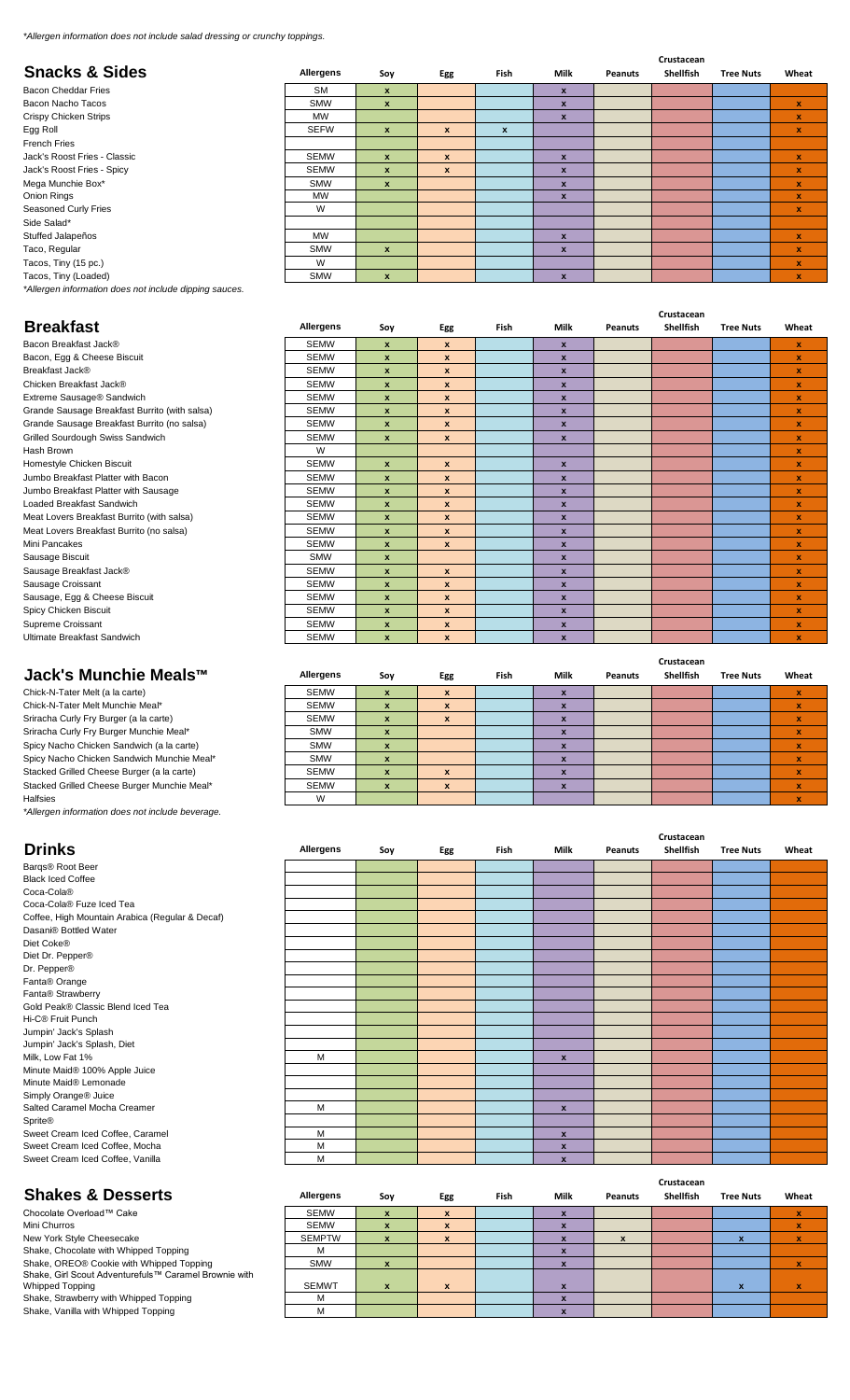*\*Allergen information does not include salad dressing or crunchy toppings.*

|                                                        |             |              |                  |                  |                           |                | Crustacean |                  |              |
|--------------------------------------------------------|-------------|--------------|------------------|------------------|---------------------------|----------------|------------|------------------|--------------|
| <b>Snacks &amp; Sides</b>                              | Allergens   | Soy          | Egg              | <b>Fish</b>      | Milk                      | <b>Peanuts</b> | Shellfish  | <b>Tree Nuts</b> | Wheat        |
| Bacon Cheddar Fries                                    | <b>SM</b>   | $\mathbf{x}$ |                  |                  | $\boldsymbol{x}$          |                |            |                  |              |
| Bacon Nacho Tacos                                      | <b>SMW</b>  | $\mathbf{x}$ |                  |                  | $\boldsymbol{x}$          |                |            |                  | $\mathbf{x}$ |
| Crispy Chicken Strips                                  | MW          |              |                  |                  | $\boldsymbol{x}$          |                |            |                  | $\mathbf{x}$ |
| Egg Roll                                               | <b>SEFW</b> | $\mathbf{x}$ | $\mathbf{x}$     | $\boldsymbol{x}$ |                           |                |            |                  | $\mathbf{x}$ |
| <b>French Fries</b>                                    |             |              |                  |                  |                           |                |            |                  |              |
| Jack's Roost Fries - Classic                           | <b>SEMW</b> | $\mathbf{x}$ | $\boldsymbol{x}$ |                  | $\boldsymbol{\mathsf{x}}$ |                |            |                  | $\pmb{\chi}$ |
| Jack's Roost Fries - Spicy                             | <b>SEMW</b> | $\mathbf{x}$ | $\mathbf{x}$     |                  | $\boldsymbol{\mathsf{x}}$ |                |            |                  | $\pmb{\chi}$ |
| Mega Munchie Box*                                      | <b>SMW</b>  | $\mathbf{x}$ |                  |                  | $\boldsymbol{x}$          |                |            |                  | $\mathbf x$  |
| Onion Rings                                            | MW          |              |                  |                  | $\boldsymbol{x}$          |                |            |                  | $\mathbf{x}$ |
| Seasoned Curly Fries                                   | W           |              |                  |                  |                           |                |            |                  | $\mathbf x$  |
| Side Salad*                                            |             |              |                  |                  |                           |                |            |                  |              |
| Stuffed Jalapeños                                      | MW          |              |                  |                  | $\mathbf{x}$              |                |            |                  | $\mathbf{x}$ |
| Taco, Regular                                          | <b>SMW</b>  | $\mathbf{x}$ |                  |                  | $\boldsymbol{x}$          |                |            |                  | $\mathbf x$  |
| Tacos, Tiny (15 pc.)                                   | W           |              |                  |                  |                           |                |            |                  | $\mathbf x$  |
| Tacos, Tiny (Loaded)                                   | <b>SMW</b>  | $\mathbf{x}$ |                  |                  | $\boldsymbol{x}$          |                |            |                  | $\mathbf{x}$ |
| *Allergen information does not include dipping sauces. |             |              |                  |                  |                           |                |            |                  |              |

|                                               |             |                    |                    |             |                    | Crustacean     |                  |                  |                    |  |  |  |  |
|-----------------------------------------------|-------------|--------------------|--------------------|-------------|--------------------|----------------|------------------|------------------|--------------------|--|--|--|--|
| <b>Breakfast</b>                              | Allergens   | Soy                | Egg                | <b>Fish</b> | Milk               | <b>Peanuts</b> | <b>Shellfish</b> | <b>Tree Nuts</b> | Wheat              |  |  |  |  |
| Bacon Breakfast Jack®                         | <b>SEMW</b> | $\mathbf{x}$       | $\mathbf{x}$       |             | $\mathbf{x}$       |                |                  |                  | $\mathbf x$        |  |  |  |  |
| Bacon, Egg & Cheese Biscuit                   | <b>SEMW</b> | $\pmb{\chi}$       | $\pmb{\mathsf{x}}$ |             | $\pmb{\mathsf{x}}$ |                |                  |                  | $\pmb{\mathsf{x}}$ |  |  |  |  |
| Breakfast Jack®                               | <b>SEMW</b> | $\mathbf{x}$       | x                  |             | $\mathbf{x}$       |                |                  |                  | $\pmb{\mathsf{x}}$ |  |  |  |  |
| Chicken Breakfast Jack®                       | <b>SEMW</b> | $\pmb{\mathsf{x}}$ | $\pmb{\mathsf{x}}$ |             | $\pmb{\mathsf{x}}$ |                |                  |                  | $\pmb{\mathsf{x}}$ |  |  |  |  |
| Extreme Sausage® Sandwich                     | <b>SEMW</b> | $\pmb{\chi}$       | $\pmb{\mathsf{x}}$ |             | $\pmb{\mathsf{x}}$ |                |                  |                  | $\pmb{\mathsf{x}}$ |  |  |  |  |
| Grande Sausage Breakfast Burrito (with salsa) | <b>SEMW</b> | $\mathbf{x}$       | x                  |             | $\mathbf{x}$       |                |                  |                  | $\pmb{\mathsf{x}}$ |  |  |  |  |
| Grande Sausage Breakfast Burrito (no salsa)   | <b>SEMW</b> | $\pmb{\mathsf{x}}$ | $\pmb{\mathsf{x}}$ |             | $\pmb{\mathsf{x}}$ |                |                  |                  | $\pmb{\mathsf{x}}$ |  |  |  |  |
| Grilled Sourdough Swiss Sandwich              | <b>SEMW</b> | $\mathbf{x}$       | $\mathbf{x}$       |             | $\mathbf{x}$       |                |                  |                  | $\mathbf{x}$       |  |  |  |  |
| Hash Brown                                    | W           |                    |                    |             |                    |                |                  |                  | $\pmb{\mathsf{x}}$ |  |  |  |  |
| Homestyle Chicken Biscuit                     | <b>SEMW</b> | $\mathbf{x}$       | x                  |             | $\pmb{\mathsf{x}}$ |                |                  |                  | $\pmb{\mathsf{x}}$ |  |  |  |  |
| Jumbo Breakfast Platter with Bacon            | <b>SEMW</b> | $\mathbf{x}$       | $\pmb{\mathsf{x}}$ |             | $\pmb{\mathsf{x}}$ |                |                  |                  | $\mathbf{x}$       |  |  |  |  |
| Jumbo Breakfast Platter with Sausage          | <b>SEMW</b> | $\mathbf{x}$       | x                  |             | $\mathbf{x}$       |                |                  |                  | $\mathbf{x}$       |  |  |  |  |
| Loaded Breakfast Sandwich                     | <b>SEMW</b> | $\mathbf{x}$       | $\pmb{\mathsf{x}}$ |             | $\pmb{\mathsf{x}}$ |                |                  |                  | $\pmb{\mathsf{x}}$ |  |  |  |  |
| Meat Lovers Breakfast Burrito (with salsa)    | <b>SEMW</b> | $\mathbf{x}$       | $\pmb{\mathsf{x}}$ |             | $\pmb{\mathsf{x}}$ |                |                  |                  | $\mathbf{x}$       |  |  |  |  |
| Meat Lovers Breakfast Burrito (no salsa)      | <b>SEMW</b> | $\mathbf{x}$       | $\mathbf{x}$       |             | $\mathbf{x}$       |                |                  |                  | $\mathbf{x}$       |  |  |  |  |
| Mini Pancakes                                 | <b>SEMW</b> | $\mathbf{x}$       | $\pmb{\mathsf{x}}$ |             | $\pmb{\mathsf{x}}$ |                |                  |                  | $\pmb{\mathsf{x}}$ |  |  |  |  |
| Sausage Biscuit                               | <b>SMW</b>  | $\mathbf{x}$       |                    |             | $\pmb{\mathsf{x}}$ |                |                  |                  | $\mathbf{x}$       |  |  |  |  |
| Sausage Breakfast Jack®                       | <b>SEMW</b> | $\mathbf{x}$       | $\mathbf{x}$       |             | $\mathbf{x}$       |                |                  |                  | $\mathbf{x}$       |  |  |  |  |
| Sausage Croissant                             | <b>SEMW</b> | $\mathbf{x}$       | $\pmb{\mathsf{x}}$ |             | $\pmb{\mathsf{x}}$ |                |                  |                  | $\pmb{\chi}$       |  |  |  |  |
| Sausage, Egg & Cheese Biscuit                 | <b>SEMW</b> | $\mathbf{x}$       | $\mathbf{x}$       |             | $\pmb{\mathsf{x}}$ |                |                  |                  | $\pmb{\chi}$       |  |  |  |  |
| Spicy Chicken Biscuit                         | <b>SEMW</b> | $\mathbf{x}$       | $\mathbf{x}$       |             | $\mathbf{x}$       |                |                  |                  | $\mathbf{x}$       |  |  |  |  |
| Supreme Croissant                             | <b>SEMW</b> | $\pmb{\mathsf{x}}$ | $\pmb{\mathsf{x}}$ |             | $\pmb{\mathsf{x}}$ |                |                  |                  | $\pmb{\mathsf{x}}$ |  |  |  |  |
| Ultimate Breakfast Sandwich                   | <b>SEMW</b> | $\mathbf{x}$       | $\mathbf{x}$       |             | $\mathbf{x}$       |                |                  |                  | $\mathbf{x}$       |  |  |  |  |

Chick-N-Tater Melt (a la carte) SEMW **x x x x** Chick-N-Tater Melt Munchie Meal\* SEMW **x x x x** Sriracha Curly Fry Burger (a la carte) SEMW **x x x x x x x** Sriracha Curly Fry Burger Munchie Meal\* SMW **x x x x x x** Spicy Nacho Chicken Sandwich (a la carte) SMW SMW **x x** Spicy Nacho Chicken Sandwich Munchie Meal\* SMW **x x x** Stacked Grilled Cheese Burger (a la carte) SEMW <mark> x | x | | x |</mark> | <mark> x</mark> Stacked Grilled Cheese Burger Munchie Meal\* SEMW **x x x x** Halfsies **Market Community Community Community Community Community Community Community Community Community Community Community Community Community Community Community Community Community Community Community Community Commu** 

*\*Allergen information does not include beverage.*

|                                                 |           |     |     |      |                    |         | Crustacean |                  |       |
|-------------------------------------------------|-----------|-----|-----|------|--------------------|---------|------------|------------------|-------|
| <b>Drinks</b>                                   | Allergens | Soy | Egg | Fish | Milk               | Peanuts | Shellfish  | <b>Tree Nuts</b> | Wheat |
| Bargs® Root Beer                                |           |     |     |      |                    |         |            |                  |       |
| <b>Black Iced Coffee</b>                        |           |     |     |      |                    |         |            |                  |       |
| Coca-Cola®                                      |           |     |     |      |                    |         |            |                  |       |
| Coca-Cola® Fuze Iced Tea                        |           |     |     |      |                    |         |            |                  |       |
| Coffee, High Mountain Arabica (Regular & Decaf) |           |     |     |      |                    |         |            |                  |       |
| Dasani® Bottled Water                           |           |     |     |      |                    |         |            |                  |       |
| Diet Coke®                                      |           |     |     |      |                    |         |            |                  |       |
| Diet Dr. Pepper®                                |           |     |     |      |                    |         |            |                  |       |
| Dr. Pepper®                                     |           |     |     |      |                    |         |            |                  |       |
| Fanta <sup>®</sup> Orange                       |           |     |     |      |                    |         |            |                  |       |
| Fanta® Strawberry                               |           |     |     |      |                    |         |            |                  |       |
| Gold Peak® Classic Blend Iced Tea               |           |     |     |      |                    |         |            |                  |       |
| Hi-C <sup>®</sup> Fruit Punch                   |           |     |     |      |                    |         |            |                  |       |
| Jumpin' Jack's Splash                           |           |     |     |      |                    |         |            |                  |       |
| Jumpin' Jack's Splash, Diet                     |           |     |     |      |                    |         |            |                  |       |
| Milk, Low Fat 1%                                | M         |     |     |      | $\pmb{\chi}$       |         |            |                  |       |
| Minute Maid® 100% Apple Juice                   |           |     |     |      |                    |         |            |                  |       |
| Minute Maid® Lemonade                           |           |     |     |      |                    |         |            |                  |       |
| Simply Orange <sup>®</sup> Juice                |           |     |     |      |                    |         |            |                  |       |
| Salted Caramel Mocha Creamer                    | М         |     |     |      | $\pmb{\chi}$       |         |            |                  |       |
| Sprite®                                         |           |     |     |      |                    |         |            |                  |       |
| Sweet Cream Iced Coffee, Caramel                | М         |     |     |      | $\pmb{\mathsf{x}}$ |         |            |                  |       |
| Sweet Cream Iced Coffee, Mocha                  | М         |     |     |      | x                  |         |            |                  |       |
| Sweet Cream Iced Coffee, Vanilla                | M         |     |     |      | $\pmb{\mathsf{x}}$ |         |            |                  |       |
|                                                 |           |     |     |      |                    |         |            |                  |       |

## **Shakes & Desserts Allergens Soy Egg Fish Milk Peanuts Crustacean Shellfish Tree Nuts Wheat** Chocolate Overload™ Cake SEMW **x x x x** Mini Churros SEMW **x x x x** New York Style Cheesecake SEMPTW **x x x x x x** Shake, Chocolate with Whipped Topping M **M M x** Shake, OREO® Cookie with Whipped Topping SMW **x x x** Shake, Girl Scout Adventurefuls™ Caramel Brownie with Whipped Topping SEMWT **x x x x x** Shake, Strawberry with Whipped Topping **and Community of the Community of the Community of the Community of the Community of the Community of the Community of the Community of the Community of the Community of the Communit** Shake, Vanilla with Whipped Topping M **x x x x x x x x**

**Shellfish Tree Nuts Wheat**

**Jack's Munchie Meals™ Allergens Soy Egg Fish Milk Peanuts Crustacean**